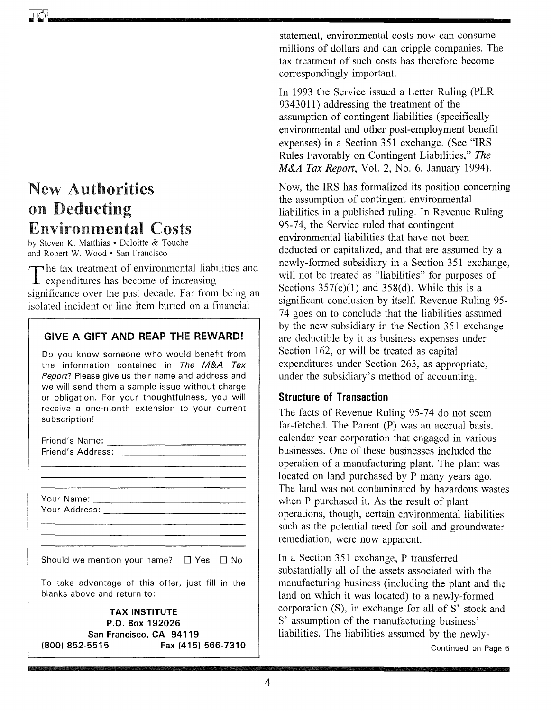# New Authorities on Deducting Environmental Costs

by Steven K. Matthias· Deloitte & Touche and Robert W. Wood · San Francisco

The tax treatment of environmental liabilities and **1** expenditures has become of increasing significance over the past decade. Far from being an isolated incident or line item buried on a financial

### GIVE A GIFT AND REAP THE REWARD!

Do you know someone who would benefit from the information contained in *The M&A Tax Report?* Please give us their name and address and we will send them a sample issue without charge or obligation. For your thoughtfulness, you will receive a one-month extension to your current subscription!

| Should we mention your name? $\Box$ Yes $\Box$ No |
|---------------------------------------------------|
|                                                   |
| To take advantage of this offer, just fill in the |
| blanks above and return to:                       |
| <b>TAX INSTITUTE</b>                              |
| P.O. Box 192026                                   |
| San Francisco, CA 94119                           |
| (800) 852-5515<br>Fax (415) 566-7310              |

statement, environmental costs now can consume millions of dollars and can cripple companies. The tax treatment of such costs has therefore become correspondingly important.

In 1993 the Service issued a Letter Ruling (PLR 9343011) addressing the treatment of the assumption of contingent liabilities (specifically environmental and other post-employment benefit expenses) in a Section 351 exchange. (See "IRS Rules Favorably on Contingent Liabilities," *The M&A Tax Report,* Vol. 2, No.6, January 1994).

Now, the IRS has formalized its position concerning the assumption of contingent environmental liabilities in a published ruling. In Revenue Ruling 95-74, the Service ruled that contingent environmental liabilities that have not been deducted or capitalized, and that are assumed by a newly-formed subsidiary in a Section 351 exchange, will not be treated as "liabilities" for purposes of Sections  $357(c)(1)$  and  $358(d)$ . While this is a significant conclusion by itself, Revenue Ruling 95- 74 goes on to conclude that the liabilities assumed by the new subsidiary in the Section 351 exchange are deductible by it as business expenses under Section 162, or will be treated as capital expenditures under Section 263, as appropriate, under the subsidiary's method of accounting.

# **Structure of Transaction**

The facts of Revenue Ruling 95-74 do not seem far-fetched. The Parent (P) was an accrual basis, calendar year corporation that engaged in various businesses. One of these businesses included the operation of a manufacturing plant. The plant was located on land purchased by P many years ago. The land was not contaminated by hazardous wastes when P purchased it. As the result of plant operations, though, certain environmental liabilities such as the potential need for soil and groundwater remediation, were now apparent.

In a Section 351 exchange, P transferred substantially all of the assets associated with the manufacturing business (including the plant and the land on which it was located) to a newly-formed corporation (S), in exchange for all of S' stock and S' assumption of the manufacturing business' liabilities. The liabilities assumed by the newly-

Continued on Page 5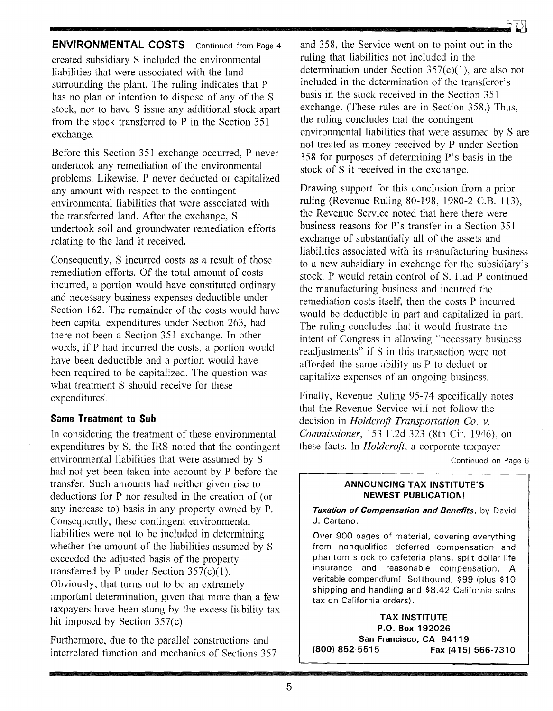**ENVIRONMENTAL COSTS** Continued from Page 4 created subsidiary S included the environmental liabilities that were associated with the land surrounding the plant. The ruling indicates that P has no plan or intention to dispose of any of the S stock, nor to have S issue any additional stock apart from the stock transferred to P in the Section 351 exchange.

Before this Section 351 exchange occurred, P never undertook any remediation of the environmental problems. Likewise, P never deducted or capitalized any amount with respect to the contingent environmental liabilities that were associated with the transferred land. After the exchange, S undertook soil and groundwater remediation efforts relating to the land it received.

Consequently, S incurred costs as a result of those remediation efforts. Of the total amount of costs incurred, a portion would have constituted ordinary and necessary business expenses deductible under Section 162. The remainder of the costs would have been capital expenditures under Section 263, had there not been a Section 351 exchange. In other words, if P had incurred the costs, a portion would have been deductible and a portion would have been required to be capitalized. The question was what treatment S should receive for these expenditures.

#### **Same Treatment to Sub**

In considering the treatment of these environmental expenditures by S, the IRS noted that the contingent environmental liabilities that were assumed by S had not yet been taken into account by P before the transfer. Such amounts had neither given rise to deductions for P nor resulted in the creation of (or any increase to) basis in any property owned by P. Consequently, these contingent environmental liabilities were not to be included in determining whether the amount of the liabilities assumed by S exceeded the adjusted basis of the property transferred by P under Section  $357(c)(1)$ . Obviously, that turns out to be an extremely important determination, given that more than a few taxpayers have been stung by the excess liability tax hit imposed by Section 357(c).

Furthermore, due to the parallel constructions and interrelated function and mechanics of Sections 357



and 358, the Service went on to point out in the ruling that liabilities not included in the determination under Section  $357(c)(1)$ , are also not included in the determination of the transferor's basis in the stock received in the Section 351 exchange. (These rules are in Section 358.) Thus, the ruling concludes that the contingent environmental liabilities that were assumed by S are not treated as money received by P under Section 358 for purposes of determining P's basis in the stock of S it received in the exchange.

Drawing support for this conclusion from a prior ruling (Revenue Ruling 80-198, 1980-2 c.B. 113), the Revenue Service noted that here there were business reasons for  $P$ 's transfer in a Section 351 exchange of substantially all of the assets and liabilities associated with its manufacturing business to a new subsidiary in exchange for the subsidiary's stock. P would retain control of S. Had P continued the manufacturing business and incurred the remediation costs itself, then the costs P incurred would be deductible in part and capitalized in part. The ruling concludes that it would frustrate the intent of Congress in allowing "necessary business readjustments" if S in this transaction were not afforded the same ability as P to deduct or capitalize expenses of an ongoing business.

Finally, Revenue Ruling 95-74 specifically notes that the Revenue Service will not follow the decision in *Holdcrojt Transportation Co. v. Commissioner,* 153 F.2d 323 (8th Cir. 1946), on these facts. In *Holdcrojt,* a corporate taxpayer

Continued on Page 6

#### **ANNOUNCING TAX INSTITUTE'S NEWEST PUBLICATION!**

*Taxation of Compensation and Benefits,* by David J. Cartano.

Over 900 pages of material, covering everything from nonqualified deferred compensation and phantom stock to cafeteria plans, split dollar life insurance and reasonable compensation. A veritable compendium! Softbound, \$99 (plus \$10 shipping and handling and \$8.42 California sales tax on California orders).

**TAX INSTITUTE P.O. Box 192026 San Francisco, CA 94119**<br>**Fax (415) Rancisco (800) 852-5515 Fax (415) 566-7310**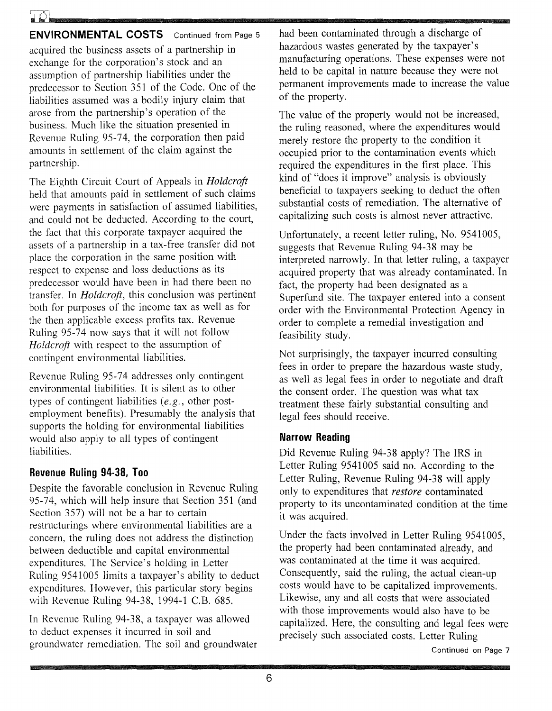**ENVIRONMENTAL COSTS** Continued from Page 5 acquired the business assets of a partnership in exchange for the corporation's stock and an assumption of partnership liabilities under the predecessor to Section 351 of the Code. One of the liabilities assumed was a bodily injury claim that arose from the partnership's operation of the business. Much like the situation presented in Revenue Ruling 95-74, the corporation then paid amounts in settlement of the claim against the partnership.

The Eighth Circuit Court of Appeals in *Holdcrojt*  held that amounts paid in settlement of such claims were payments in satisfaction of assumed liabilities, and could not be deducted. According to the court, the fact that this corporate taxpayer acquired the assets of a partnership in a tax-free transfer did not place the corporation in the same position with respect to expense and loss deductions as its predecessor would have been in had there been no transfer. In *Holdcrojt,* this conclusion was pertinent both for purposes of the income tax as well as for the then applicable excess profits tax. Revenue Ruling 95-74 now says that it will not follow *Holdcrojt* with respect to the assumption of contingent environmental liabilities.

Revenue Ruling 95-74 addresses only contingent environmental liabilities. It is silent as to other types of contingent liabilities *(e. g.,* other postemployment benefits). Presumably the analysis that supports the holding for environmental liabilities would also apply to all types of contingent liabilities.

## **Revenue Ruling 94·38, Too**

Despite the favorable conclusion in Revenue Ruling 95-74, which will help insure that Section 351 (and Section 357) will not be a bar to certain restructurings where environmental liabilities are a concern, the ruling does not address the distinction between deductible and capital environmental expenditures. The Service's holding in Letter Ruling 9541005 limits a taxpayer's ability to deduct expenditures. However, this particular story begins with Revenue Ruling 94-38, 1994-1 C.B. 685.

In Revenue Ruling 94-38, a taxpayer was allowed to deduct expenses it incurred in soil and groundwater remediation. The soil and groundwater had been contaminated through a discharge of hazardous wastes generated by the taxpayer's manufacturing operations. These expenses were not held to be capital in nature because they were not permanent improvements made to increase the value of the property.

The value of the property would not be increased, the ruling reasoned, where the expenditures would merely restore the property to the condition it occupied prior to the contamination events which required the expenditures in the first place. This kind of "does it improve" analysis is obviously beneficial to taxpayers seeking to deduct the often substantial costs of remediation. The alternative of capitalizing such costs is almost never attractive.

Unfortunately, a recent letter ruling, No. 9541005, suggests that Revenue Ruling 94-38 may be interpreted narrowly. In that letter ruling, a taxpayer acquired property that was already contaminated. In fact, the property had been designated as a Superfund site. The taxpayer entered into a consent order with the Environmental Protection Agency in order to complete a remedial investigation and feasibility study.

Not surprisingly, the taxpayer incurred consulting fees in order to prepare the hazardous waste study, as well as legal fees in order to negotiate and draft the consent order. The question was what tax treatment these fairly substantial consulting and legal fees should receive.

## **Narrow Reading**

Did Revenue Ruling 94-38 apply? The IRS in Letter Ruling 9541005 said no. According to the Letter Ruling, Revenue Ruling 94-38 will apply only to expenditures that *restore* contaminated property to its uncontaminated condition at the time it was acquired.

Under the facts involved in Letter Ruling 9541005, the property had been contaminated already, and was contaminated at the time it was acquired. Consequently, said the ruling, the actual clean-up costs would have to be capitalized improvements. Likewise, any and all costs that were associated with those improvements would also have to be capitalized. Here, the consulting and legal fees were precisely such associated costs. Letter Ruling

Continued on Page 7